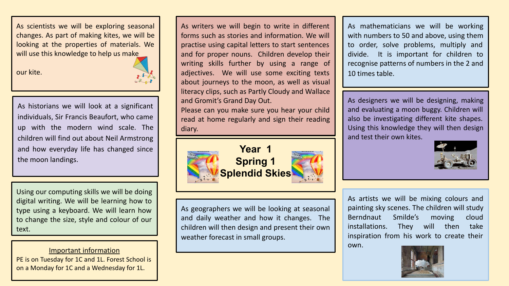As scientists we will be exploring seasonal changes. As part of making kites, we will be looking at the properties of materials. We will use this knowledge to help us make

our kite.



As historians we will look at a significant individuals, Sir Francis Beaufort, who came up with the modern wind scale. The children will find out about Neil Armstrong and how everyday life has changed since the moon landings.

Using our computing skills we will be doing digital writing. We will be learning how to type using a keyboard. We will learn how to change the size, style and colour of our text.

Important information PE is on Tuesday for 1C and 1L. Forest School is on a Monday for 1C and a Wednesday for 1L.

As writers we will begin to write in different forms such as stories and information. We will practise using capital letters to start sentences and for proper nouns. Children develop their writing skills further by using a range of adjectives. We will use some exciting texts about journeys to the moon, as well as visual literacy clips, such as Partly Cloudy and Wallace and Gromit's Grand Day Out.

Please can you make sure you hear your child read at home regularly and sign their reading diary.



As geographers we will be looking at seasonal and daily weather and how it changes. The children will then design and present their own weather forecast in small groups.

As mathematicians we will be working with numbers to 50 and above, using them to order, solve problems, multiply and divide. It is important for children to recognise patterns of numbers in the 2 and 10 times table.

As designers we will be designing, making and evaluating a moon buggy. Children will also be investigating different kite shapes. Using this knowledge they will then design and test their own kites.



As artists we will be mixing colours and painting sky scenes. The children will study Berndnaut Smilde's moving cloud installations. They will then take inspiration from his work to create their own.